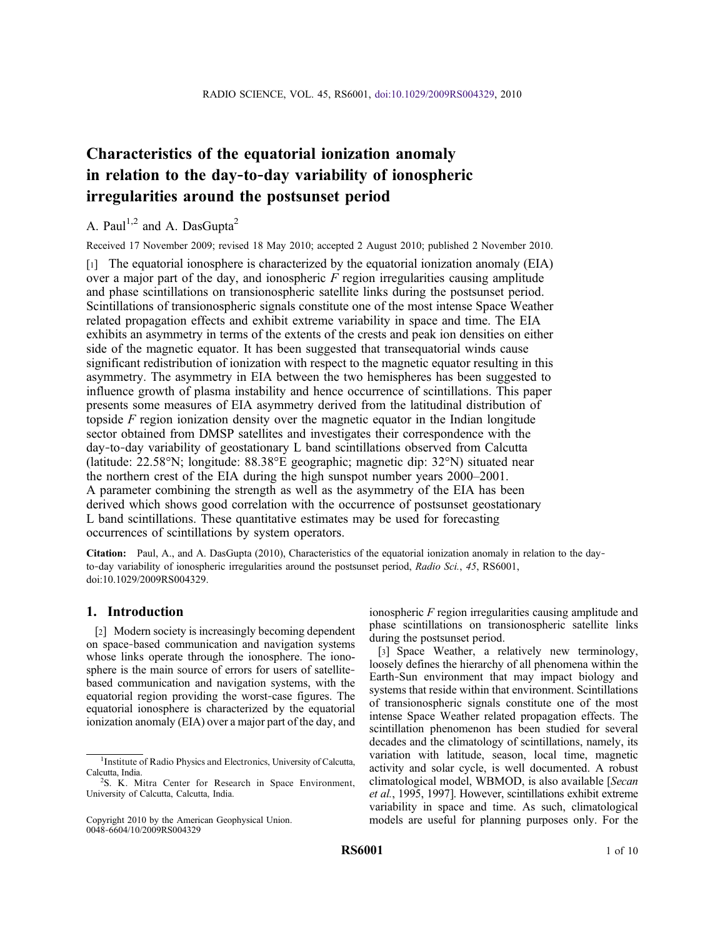# Characteristics of the equatorial ionization anomaly in relation to the day‐to‐day variability of ionospheric irregularities around the postsunset period

# A. Paul<sup>1,2</sup> and A. DasGupta<sup>2</sup>

Received 17 November 2009; revised 18 May 2010; accepted 2 August 2010; published 2 November 2010.

[1] The equatorial ionosphere is characterized by the equatorial ionization anomaly (EIA) over a major part of the day, and ionospheric  $F$  region irregularities causing amplitude and phase scintillations on transionospheric satellite links during the postsunset period. Scintillations of transionospheric signals constitute one of the most intense Space Weather related propagation effects and exhibit extreme variability in space and time. The EIA exhibits an asymmetry in terms of the extents of the crests and peak ion densities on either side of the magnetic equator. It has been suggested that transequatorial winds cause significant redistribution of ionization with respect to the magnetic equator resulting in this asymmetry. The asymmetry in EIA between the two hemispheres has been suggested to influence growth of plasma instability and hence occurrence of scintillations. This paper presents some measures of EIA asymmetry derived from the latitudinal distribution of topside F region ionization density over the magnetic equator in the Indian longitude sector obtained from DMSP satellites and investigates their correspondence with the day‐to‐day variability of geostationary L band scintillations observed from Calcutta (latitude: 22.58°N; longitude: 88.38°E geographic; magnetic dip: 32°N) situated near the northern crest of the EIA during the high sunspot number years 2000–2001. A parameter combining the strength as well as the asymmetry of the EIA has been derived which shows good correlation with the occurrence of postsunset geostationary L band scintillations. These quantitative estimates may be used for forecasting occurrences of scintillations by system operators.

Citation: Paul, A., and A. DasGupta (2010), Characteristics of the equatorial ionization anomaly in relation to the day‐ to-day variability of ionospheric irregularities around the postsunset period, Radio Sci., 45, RS6001, doi:10.1029/2009RS004329.

### 1. Introduction

[2] Modern society is increasingly becoming dependent on space‐based communication and navigation systems whose links operate through the ionosphere. The ionosphere is the main source of errors for users of satellitebased communication and navigation systems, with the equatorial region providing the worst‐case figures. The equatorial ionosphere is characterized by the equatorial ionization anomaly (EIA) over a major part of the day, and

Copyright 2010 by the American Geophysical Union. 0048‐6604/10/2009RS004329

ionospheric F region irregularities causing amplitude and phase scintillations on transionospheric satellite links during the postsunset period.

[3] Space Weather, a relatively new terminology, loosely defines the hierarchy of all phenomena within the Earth‐Sun environment that may impact biology and systems that reside within that environment. Scintillations of transionospheric signals constitute one of the most intense Space Weather related propagation effects. The scintillation phenomenon has been studied for several decades and the climatology of scintillations, namely, its variation with latitude, season, local time, magnetic activity and solar cycle, is well documented. A robust climatological model, WBMOD, is also available [Secan et al., 1995, 1997]. However, scintillations exhibit extreme variability in space and time. As such, climatological models are useful for planning purposes only. For the

<sup>&</sup>lt;sup>1</sup>Institute of Radio Physics and Electronics, University of Calcutta, Calcutta, India.

<sup>&</sup>lt;sup>2</sup>S. K. Mitra Center for Research in Space Environment, University of Calcutta, Calcutta, India.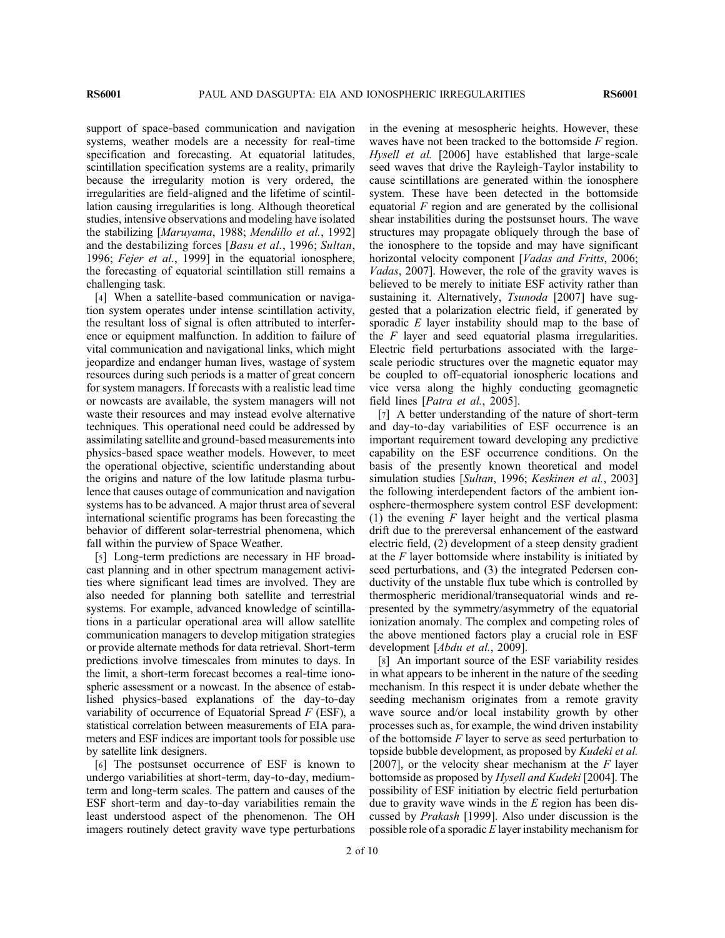support of space-based communication and navigation systems, weather models are a necessity for real-time specification and forecasting. At equatorial latitudes, scintillation specification systems are a reality, primarily because the irregularity motion is very ordered, the irregularities are field‐aligned and the lifetime of scintillation causing irregularities is long. Although theoretical studies, intensive observations and modeling have isolated the stabilizing [Maruyama, 1988; Mendillo et al., 1992] and the destabilizing forces [Basu et al., 1996; Sultan, 1996; Fejer et al., 1999] in the equatorial ionosphere, the forecasting of equatorial scintillation still remains a challenging task.

[4] When a satellite-based communication or navigation system operates under intense scintillation activity, the resultant loss of signal is often attributed to interference or equipment malfunction. In addition to failure of vital communication and navigational links, which might jeopardize and endanger human lives, wastage of system resources during such periods is a matter of great concern for system managers. If forecasts with a realistic lead time or nowcasts are available, the system managers will not waste their resources and may instead evolve alternative techniques. This operational need could be addressed by assimilating satellite and ground‐based measurements into physics‐based space weather models. However, to meet the operational objective, scientific understanding about the origins and nature of the low latitude plasma turbulence that causes outage of communication and navigation systems has to be advanced. A major thrust area of several international scientific programs has been forecasting the behavior of different solar-terrestrial phenomena, which fall within the purview of Space Weather.

[5] Long-term predictions are necessary in HF broadcast planning and in other spectrum management activities where significant lead times are involved. They are also needed for planning both satellite and terrestrial systems. For example, advanced knowledge of scintillations in a particular operational area will allow satellite communication managers to develop mitigation strategies or provide alternate methods for data retrieval. Short‐term predictions involve timescales from minutes to days. In the limit, a short‐term forecast becomes a real‐time ionospheric assessment or a nowcast. In the absence of established physics‐based explanations of the day‐to‐day variability of occurrence of Equatorial Spread  $F$  (ESF), a statistical correlation between measurements of EIA parameters and ESF indices are important tools for possible use by satellite link designers.

[6] The postsunset occurrence of ESF is known to undergo variabilities at short‐term, day‐to‐day, medium‐ term and long‐term scales. The pattern and causes of the ESF short‐term and day‐to‐day variabilities remain the least understood aspect of the phenomenon. The OH imagers routinely detect gravity wave type perturbations

in the evening at mesospheric heights. However, these waves have not been tracked to the bottomside  $F$  region. Hysell et al. [2006] have established that large-scale seed waves that drive the Rayleigh‐Taylor instability to cause scintillations are generated within the ionosphere system. These have been detected in the bottomside equatorial  $F$  region and are generated by the collisional shear instabilities during the postsunset hours. The wave structures may propagate obliquely through the base of the ionosphere to the topside and may have significant horizontal velocity component [Vadas and Fritts, 2006; Vadas, 2007]. However, the role of the gravity waves is believed to be merely to initiate ESF activity rather than sustaining it. Alternatively, *Tsunoda* [2007] have suggested that a polarization electric field, if generated by sporadic  $E$  layer instability should map to the base of the  $F$  layer and seed equatorial plasma irregularities. Electric field perturbations associated with the largescale periodic structures over the magnetic equator may be coupled to off‐equatorial ionospheric locations and vice versa along the highly conducting geomagnetic field lines [Patra et al., 2005].

[7] A better understanding of the nature of short-term and day‐to‐day variabilities of ESF occurrence is an important requirement toward developing any predictive capability on the ESF occurrence conditions. On the basis of the presently known theoretical and model simulation studies [Sultan, 1996; Keskinen et al., 2003] the following interdependent factors of the ambient ionosphere‐thermosphere system control ESF development: (1) the evening  $F$  layer height and the vertical plasma drift due to the prereversal enhancement of the eastward electric field, (2) development of a steep density gradient at the  $F$  layer bottomside where instability is initiated by seed perturbations, and (3) the integrated Pedersen conductivity of the unstable flux tube which is controlled by thermospheric meridional/transequatorial winds and represented by the symmetry/asymmetry of the equatorial ionization anomaly. The complex and competing roles of the above mentioned factors play a crucial role in ESF development [Abdu et al., 2009].

[8] An important source of the ESF variability resides in what appears to be inherent in the nature of the seeding mechanism. In this respect it is under debate whether the seeding mechanism originates from a remote gravity wave source and/or local instability growth by other processes such as, for example, the wind driven instability of the bottomside  $F$  layer to serve as seed perturbation to topside bubble development, as proposed by Kudeki et al. [2007], or the velocity shear mechanism at the  $F$  layer bottomside as proposed by Hysell and Kudeki [2004]. The possibility of ESF initiation by electric field perturbation due to gravity wave winds in the  $E$  region has been discussed by Prakash [1999]. Also under discussion is the possible role of a sporadic E layer instability mechanism for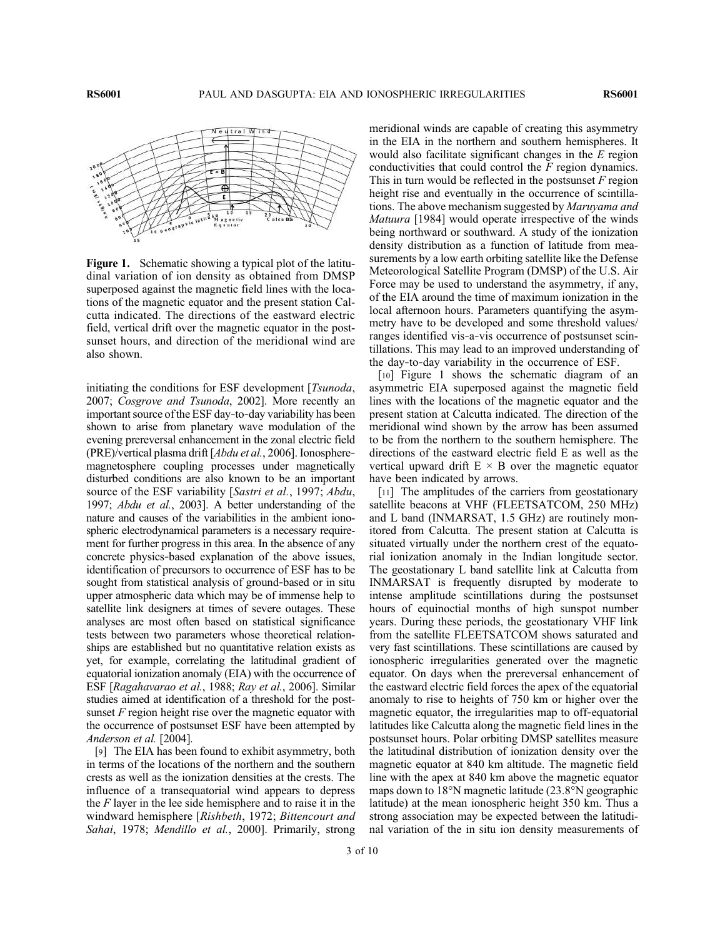

Figure 1. Schematic showing a typical plot of the latitudinal variation of ion density as obtained from DMSP superposed against the magnetic field lines with the locations of the magnetic equator and the present station Calcutta indicated. The directions of the eastward electric field, vertical drift over the magnetic equator in the postsunset hours, and direction of the meridional wind are also shown.

initiating the conditions for ESF development [*Tsunoda*, 2007; Cosgrove and Tsunoda, 2002]. More recently an important source of the ESF day‐to‐day variability has been shown to arise from planetary wave modulation of the evening prereversal enhancement in the zonal electric field (PRE)/vertical plasma drift [Abdu et al., 2006]. Ionosphere‐ magnetosphere coupling processes under magnetically disturbed conditions are also known to be an important source of the ESF variability [Sastri et al., 1997; Abdu, 1997; Abdu et al., 2003]. A better understanding of the nature and causes of the variabilities in the ambient ionospheric electrodynamical parameters is a necessary requirement for further progress in this area. In the absence of any concrete physics‐based explanation of the above issues, identification of precursors to occurrence of ESF has to be sought from statistical analysis of ground-based or in situ upper atmospheric data which may be of immense help to satellite link designers at times of severe outages. These analyses are most often based on statistical significance tests between two parameters whose theoretical relationships are established but no quantitative relation exists as yet, for example, correlating the latitudinal gradient of equatorial ionization anomaly (EIA) with the occurrence of ESF [Ragahavarao et al., 1988; Ray et al., 2006]. Similar studies aimed at identification of a threshold for the postsunset  $F$  region height rise over the magnetic equator with the occurrence of postsunset ESF have been attempted by Anderson et al. [2004].

[9] The EIA has been found to exhibit asymmetry, both in terms of the locations of the northern and the southern crests as well as the ionization densities at the crests. The influence of a transequatorial wind appears to depress the  $F$  layer in the lee side hemisphere and to raise it in the windward hemisphere [Rishbeth, 1972; Bittencourt and Sahai, 1978; Mendillo et al., 2000]. Primarily, strong

meridional winds are capable of creating this asymmetry in the EIA in the northern and southern hemispheres. It would also facilitate significant changes in the  $E$  region conductivities that could control the F region dynamics. This in turn would be reflected in the postsunset  $F$  region height rise and eventually in the occurrence of scintillations. The above mechanism suggested by Maruyama and Matuura [1984] would operate irrespective of the winds being northward or southward. A study of the ionization density distribution as a function of latitude from measurements by a low earth orbiting satellite like the Defense Meteorological Satellite Program (DMSP) of the U.S. Air Force may be used to understand the asymmetry, if any, of the EIA around the time of maximum ionization in the local afternoon hours. Parameters quantifying the asymmetry have to be developed and some threshold values/ ranges identified vis‐a‐vis occurrence of postsunset scintillations. This may lead to an improved understanding of the day‐to‐day variability in the occurrence of ESF.

[10] Figure 1 shows the schematic diagram of an asymmetric EIA superposed against the magnetic field lines with the locations of the magnetic equator and the present station at Calcutta indicated. The direction of the meridional wind shown by the arrow has been assumed to be from the northern to the southern hemisphere. The directions of the eastward electric field E as well as the vertical upward drift  $E \times B$  over the magnetic equator have been indicated by arrows.

[11] The amplitudes of the carriers from geostationary satellite beacons at VHF (FLEETSATCOM, 250 MHz) and L band (INMARSAT, 1.5 GHz) are routinely monitored from Calcutta. The present station at Calcutta is situated virtually under the northern crest of the equatorial ionization anomaly in the Indian longitude sector. The geostationary L band satellite link at Calcutta from INMARSAT is frequently disrupted by moderate to intense amplitude scintillations during the postsunset hours of equinoctial months of high sunspot number years. During these periods, the geostationary VHF link from the satellite FLEETSATCOM shows saturated and very fast scintillations. These scintillations are caused by ionospheric irregularities generated over the magnetic equator. On days when the prereversal enhancement of the eastward electric field forces the apex of the equatorial anomaly to rise to heights of 750 km or higher over the magnetic equator, the irregularities map to off-equatorial latitudes like Calcutta along the magnetic field lines in the postsunset hours. Polar orbiting DMSP satellites measure the latitudinal distribution of ionization density over the magnetic equator at 840 km altitude. The magnetic field line with the apex at 840 km above the magnetic equator maps down to 18°N magnetic latitude (23.8°N geographic latitude) at the mean ionospheric height 350 km. Thus a strong association may be expected between the latitudinal variation of the in situ ion density measurements of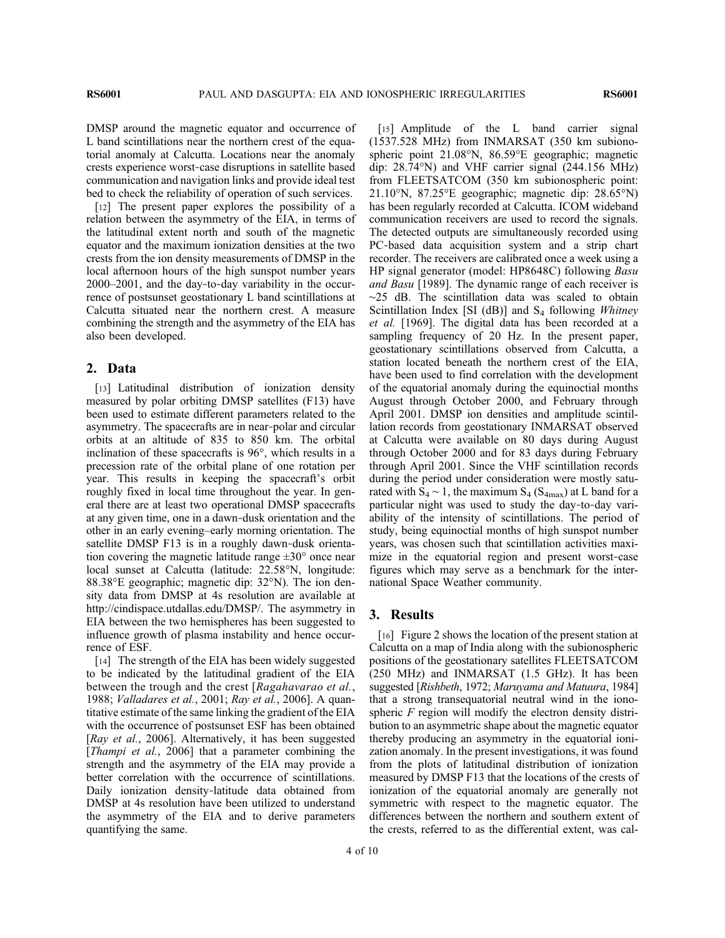DMSP around the magnetic equator and occurrence of L band scintillations near the northern crest of the equatorial anomaly at Calcutta. Locations near the anomaly crests experience worst‐case disruptions in satellite based communication and navigation links and provide ideal test bed to check the reliability of operation of such services.

[12] The present paper explores the possibility of a relation between the asymmetry of the EIA, in terms of the latitudinal extent north and south of the magnetic equator and the maximum ionization densities at the two crests from the ion density measurements of DMSP in the local afternoon hours of the high sunspot number years 2000–2001, and the day‐to‐day variability in the occurrence of postsunset geostationary L band scintillations at Calcutta situated near the northern crest. A measure combining the strength and the asymmetry of the EIA has also been developed.

#### 2. Data

[13] Latitudinal distribution of ionization density measured by polar orbiting DMSP satellites (F13) have been used to estimate different parameters related to the asymmetry. The spacecrafts are in near‐polar and circular orbits at an altitude of 835 to 850 km. The orbital inclination of these spacecrafts is 96°, which results in a precession rate of the orbital plane of one rotation per year. This results in keeping the spacecraft's orbit roughly fixed in local time throughout the year. In general there are at least two operational DMSP spacecrafts at any given time, one in a dawn‐dusk orientation and the other in an early evening–early morning orientation. The satellite DMSP F13 is in a roughly dawn-dusk orientation covering the magnetic latitude range  $\pm 30^{\circ}$  once near local sunset at Calcutta (latitude: 22.58°N, longitude: 88.38°E geographic; magnetic dip: 32°N). The ion density data from DMSP at 4s resolution are available at http://cindispace.utdallas.edu/DMSP/. The asymmetry in EIA between the two hemispheres has been suggested to influence growth of plasma instability and hence occurrence of ESF.

[14] The strength of the EIA has been widely suggested to be indicated by the latitudinal gradient of the EIA between the trough and the crest [Ragahavarao et al., 1988; Valladares et al., 2001; Ray et al., 2006]. A quantitative estimate of the same linking the gradient of the EIA with the occurrence of postsunset ESF has been obtained [Ray et al., 2006]. Alternatively, it has been suggested [*Thampi et al.*, 2006] that a parameter combining the strength and the asymmetry of the EIA may provide a better correlation with the occurrence of scintillations. Daily ionization density-latitude data obtained from DMSP at 4s resolution have been utilized to understand the asymmetry of the EIA and to derive parameters quantifying the same.

[15] Amplitude of the L band carrier signal (1537.528 MHz) from INMARSAT (350 km subionospheric point 21.08°N, 86.59°E geographic; magnetic dip: 28.74°N) and VHF carrier signal (244.156 MHz) from FLEETSATCOM (350 km subionospheric point: 21.10°N, 87.25°E geographic; magnetic dip: 28.65°N) has been regularly recorded at Calcutta. ICOM wideband communication receivers are used to record the signals. The detected outputs are simultaneously recorded using PC‐based data acquisition system and a strip chart recorder. The receivers are calibrated once a week using a HP signal generator (model: HP8648C) following Basu and Basu [1989]. The dynamic range of each receiver is ∼25 dB. The scintillation data was scaled to obtain Scintillation Index [SI (dB)] and  $S_4$  following *Whitney* et al. [1969]. The digital data has been recorded at a sampling frequency of 20 Hz. In the present paper, geostationary scintillations observed from Calcutta, a station located beneath the northern crest of the EIA, have been used to find correlation with the development of the equatorial anomaly during the equinoctial months August through October 2000, and February through April 2001. DMSP ion densities and amplitude scintillation records from geostationary INMARSAT observed at Calcutta were available on 80 days during August through October 2000 and for 83 days during February through April 2001. Since the VHF scintillation records during the period under consideration were mostly saturated with  $\dot{S}_4 \sim 1$ , the maximum  $S_4$  ( $S_{4max}$ ) at L band for a particular night was used to study the day‐to‐day variability of the intensity of scintillations. The period of study, being equinoctial months of high sunspot number years, was chosen such that scintillation activities maximize in the equatorial region and present worst-case figures which may serve as a benchmark for the international Space Weather community.

#### 3. Results

[16] Figure 2 shows the location of the present station at Calcutta on a map of India along with the subionospheric positions of the geostationary satellites FLEETSATCOM (250 MHz) and INMARSAT (1.5 GHz). It has been suggested [Rishbeth, 1972; Maruyama and Matuura, 1984] that a strong transequatorial neutral wind in the ionospheric  $F$  region will modify the electron density distribution to an asymmetric shape about the magnetic equator thereby producing an asymmetry in the equatorial ionization anomaly. In the present investigations, it was found from the plots of latitudinal distribution of ionization measured by DMSP F13 that the locations of the crests of ionization of the equatorial anomaly are generally not symmetric with respect to the magnetic equator. The differences between the northern and southern extent of the crests, referred to as the differential extent, was cal-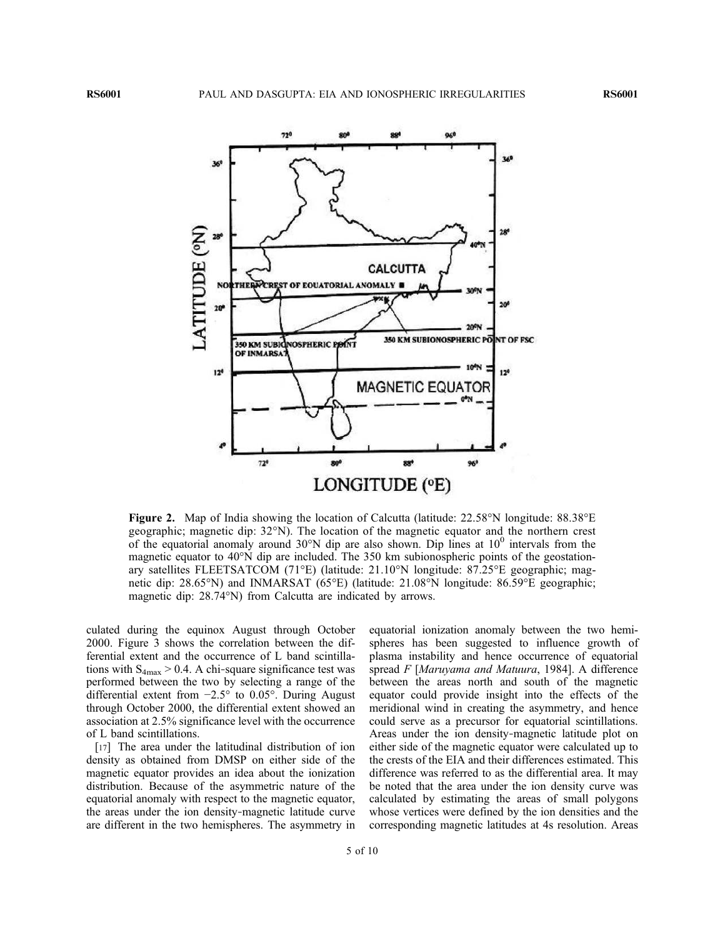

Figure 2. Map of India showing the location of Calcutta (latitude: 22.58°N longitude: 88.38°E geographic; magnetic dip: 32°N). The location of the magnetic equator and the northern crest of the equatorial anomaly around 30°N dip are also shown. Dip lines at  $10^0$  intervals from the magnetic equator to 40°N dip are included. The 350 km subionospheric points of the geostationary satellites FLEETSATCOM (71°E) (latitude: 21.10°N longitude: 87.25°E geographic; magnetic dip: 28.65°N) and INMARSAT (65°E) (latitude: 21.08°N longitude: 86.59°E geographic; magnetic dip: 28.74°N) from Calcutta are indicated by arrows.

culated during the equinox August through October 2000. Figure 3 shows the correlation between the differential extent and the occurrence of L band scintillations with  $S_{4max} > 0.4$ . A chi-square significance test was performed between the two by selecting a range of the differential extent from −2.5° to 0.05°. During August through October 2000, the differential extent showed an association at 2.5% significance level with the occurrence of L band scintillations.

[17] The area under the latitudinal distribution of ion density as obtained from DMSP on either side of the magnetic equator provides an idea about the ionization distribution. Because of the asymmetric nature of the equatorial anomaly with respect to the magnetic equator, the areas under the ion density‐magnetic latitude curve are different in the two hemispheres. The asymmetry in

equatorial ionization anomaly between the two hemispheres has been suggested to influence growth of plasma instability and hence occurrence of equatorial spread F [Maruyama and Matuura, 1984]. A difference between the areas north and south of the magnetic equator could provide insight into the effects of the meridional wind in creating the asymmetry, and hence could serve as a precursor for equatorial scintillations. Areas under the ion density‐magnetic latitude plot on either side of the magnetic equator were calculated up to the crests of the EIA and their differences estimated. This difference was referred to as the differential area. It may be noted that the area under the ion density curve was calculated by estimating the areas of small polygons whose vertices were defined by the ion densities and the corresponding magnetic latitudes at 4s resolution. Areas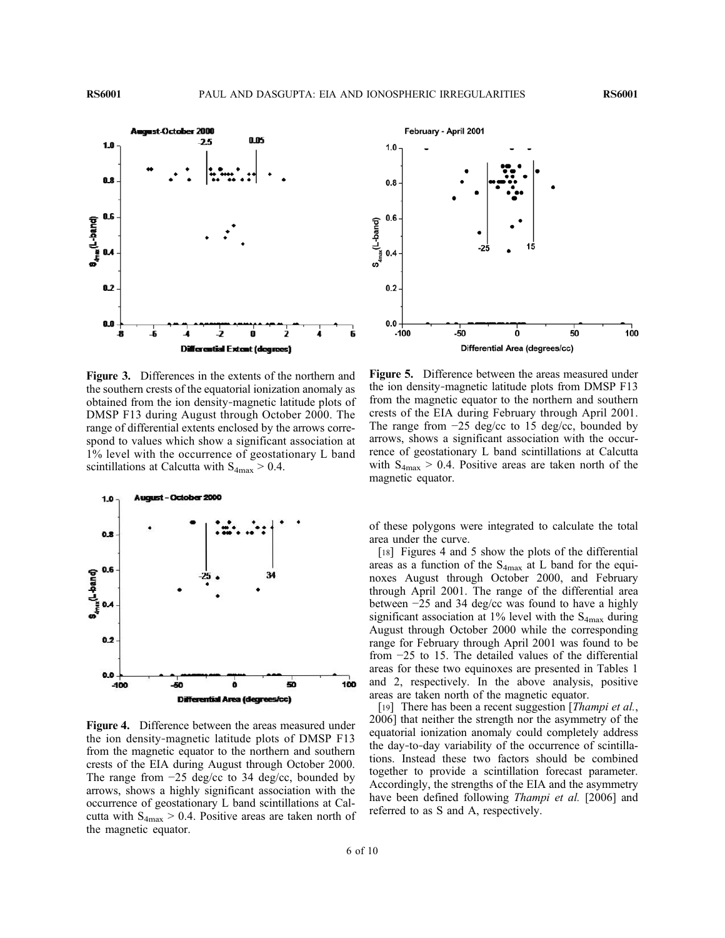

Figure 3. Differences in the extents of the northern and the southern crests of the equatorial ionization anomaly as obtained from the ion density‐magnetic latitude plots of DMSP F13 during August through October 2000. The range of differential extents enclosed by the arrows correspond to values which show a significant association at 1% level with the occurrence of geostationary L band scintillations at Calcutta with  $S_{4max} > 0.4$ .



Figure 4. Difference between the areas measured under the ion density‐magnetic latitude plots of DMSP F13 from the magnetic equator to the northern and southern crests of the EIA during August through October 2000. The range from  $-25 \text{ deg/cc}$  to 34 deg/cc, bounded by arrows, shows a highly significant association with the occurrence of geostationary L band scintillations at Calcutta with  $S_{4max} > 0.4$ . Positive areas are taken north of the magnetic equator.



Figure 5. Difference between the areas measured under the ion density‐magnetic latitude plots from DMSP F13 from the magnetic equator to the northern and southern crests of the EIA during February through April 2001. The range from −25 deg/cc to 15 deg/cc, bounded by arrows, shows a significant association with the occurrence of geostationary L band scintillations at Calcutta with  $S_{4max} > 0.4$ . Positive areas are taken north of the magnetic equator.

of these polygons were integrated to calculate the total area under the curve.

[18] Figures 4 and 5 show the plots of the differential areas as a function of the  $S_{4max}$  at L band for the equinoxes August through October 2000, and February through April 2001. The range of the differential area between −25 and 34 deg/cc was found to have a highly significant association at  $1\%$  level with the S<sub>4max</sub> during August through October 2000 while the corresponding range for February through April 2001 was found to be from −25 to 15. The detailed values of the differential areas for these two equinoxes are presented in Tables 1 and 2, respectively. In the above analysis, positive areas are taken north of the magnetic equator.

[19] There has been a recent suggestion [*Thampi et al.*, 2006] that neither the strength nor the asymmetry of the equatorial ionization anomaly could completely address the day‐to‐day variability of the occurrence of scintillations. Instead these two factors should be combined together to provide a scintillation forecast parameter. Accordingly, the strengths of the EIA and the asymmetry have been defined following *Thampi et al.* [2006] and referred to as S and A, respectively.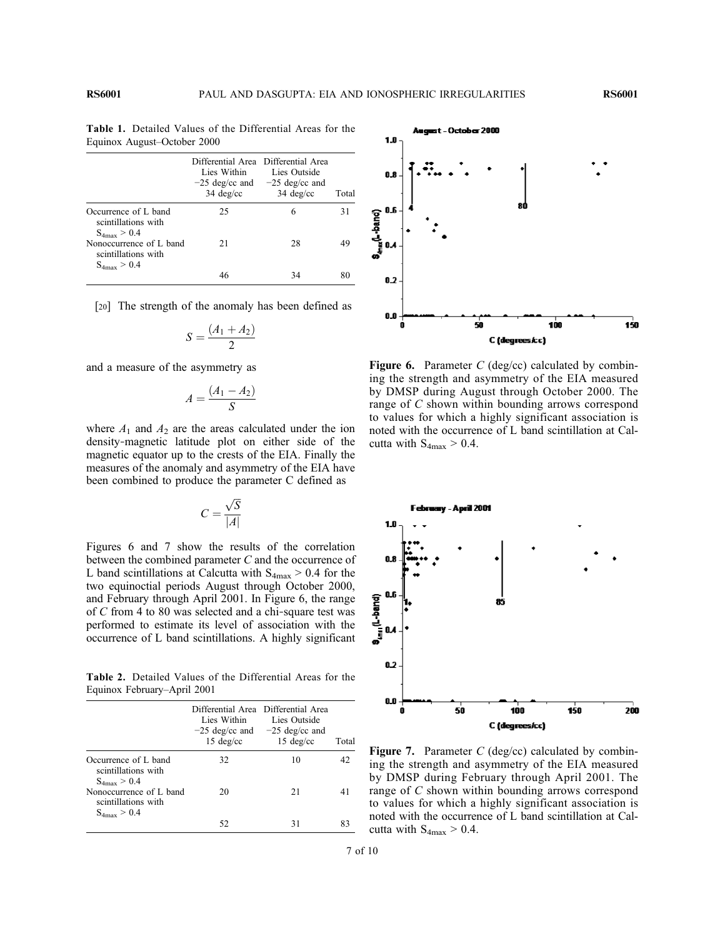|                             |  | <b>Table 1.</b> Detailed Values of the Differential Areas for the |  |  |
|-----------------------------|--|-------------------------------------------------------------------|--|--|
| Equinox August-October 2000 |  |                                                                   |  |  |

|                                                                    | Lies Within<br>$34 \text{ deg/cc}$ | Differential Area Differential Area<br>Lies Outside<br>$-25 \text{ deg/cc}$ and $-25 \text{ deg/cc}$ and<br>$34 \text{ deg/cc}$ | Total |
|--------------------------------------------------------------------|------------------------------------|---------------------------------------------------------------------------------------------------------------------------------|-------|
| Occurrence of L band<br>scintillations with                        | 25                                 | 6                                                                                                                               | 31    |
| $S_{4max} > 0.4$<br>Nonoccurrence of L band<br>scintillations with | 21                                 | 28                                                                                                                              | 49    |
| $S_{4max} > 0.4$                                                   | 46                                 |                                                                                                                                 |       |

[20] The strength of the anomaly has been defined as

$$
S = \frac{(A_1 + A_2)}{2}
$$

and a measure of the asymmetry as

$$
A = \frac{(A_1 - A_2)}{S}
$$

where  $A_1$  and  $A_2$  are the areas calculated under the ion density‐magnetic latitude plot on either side of the magnetic equator up to the crests of the EIA. Finally the measures of the anomaly and asymmetry of the EIA have been combined to produce the parameter C defined as

$$
C = \frac{\sqrt{S}}{|A|}
$$

ffiffiffi

Figures 6 and 7 show the results of the correlation between the combined parameter C and the occurrence of L band scintillations at Calcutta with  $S_{4max} > 0.4$  for the two equinoctial periods August through October 2000, and February through April 2001. In Figure 6, the range of C from 4 to 80 was selected and a chi‐square test was performed to estimate its level of association with the occurrence of L band scintillations. A highly significant

Table 2. Detailed Values of the Differential Areas for the Equinox February–April 2001

|                                                                    | Lies Within<br>$15 \text{ deg/cc}$ | Differential Area Differential Area<br>Lies Outside<br>$-25 \text{ deg/cc}$ and $-25 \text{ deg/cc}$ and<br>$15 \text{ deg/cc}$ | Total |
|--------------------------------------------------------------------|------------------------------------|---------------------------------------------------------------------------------------------------------------------------------|-------|
| Occurrence of L band<br>scintillations with<br>$S_{4max} > 0.4$    | 32                                 | 10                                                                                                                              | 42    |
| Nonoccurrence of L band<br>scintillations with<br>$S_{4max} > 0.4$ | 20                                 | 21                                                                                                                              |       |
|                                                                    | 52                                 | 31                                                                                                                              | 83    |



Figure 6. Parameter  $C$  (deg/cc) calculated by combining the strength and asymmetry of the EIA measured by DMSP during August through October 2000. The range of C shown within bounding arrows correspond to values for which a highly significant association is noted with the occurrence of L band scintillation at Calcutta with  $S_{4max} > 0.4$ .



Figure 7. Parameter  $C$  (deg/cc) calculated by combining the strength and asymmetry of the EIA measured by DMSP during February through April 2001. The range of C shown within bounding arrows correspond to values for which a highly significant association is noted with the occurrence of L band scintillation at Calcutta with  $S_{4max} > 0.4$ .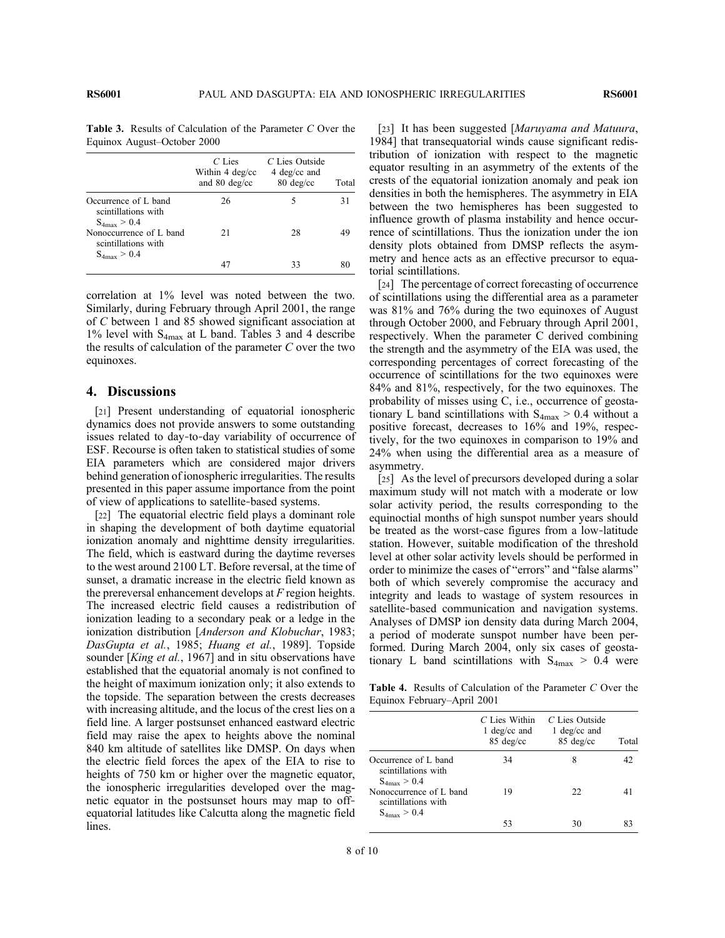Table 3. Results of Calculation of the Parameter C Over the Equinox August–October 2000

|                                                                    | $C$ Lies<br>Within 4 deg/cc<br>and $80 \text{ deg/cc}$ | C Lies Outside<br>4 deg/cc and<br>80 deg/cc | Total |
|--------------------------------------------------------------------|--------------------------------------------------------|---------------------------------------------|-------|
| Occurrence of L band<br>scintillations with<br>$S_{4max} > 0.4$    | 26                                                     | 5                                           | 31    |
| Nonoccurrence of L band<br>scintillations with<br>$S_{4max} > 0.4$ | 21                                                     | 28                                          | 49    |
|                                                                    | 47                                                     | 33                                          |       |

correlation at 1% level was noted between the two. Similarly, during February through April 2001, the range of C between 1 and 85 showed significant association at 1% level with  $S_{4max}$  at L band. Tables 3 and 4 describe the results of calculation of the parameter  $C$  over the two equinoxes.

#### 4. Discussions

[21] Present understanding of equatorial ionospheric dynamics does not provide answers to some outstanding issues related to day‐to‐day variability of occurrence of ESF. Recourse is often taken to statistical studies of some EIA parameters which are considered major drivers behind generation of ionospheric irregularities. The results presented in this paper assume importance from the point of view of applications to satellite‐based systems.

[22] The equatorial electric field plays a dominant role in shaping the development of both daytime equatorial ionization anomaly and nighttime density irregularities. The field, which is eastward during the daytime reverses to the west around 2100 LT. Before reversal, at the time of sunset, a dramatic increase in the electric field known as the prereversal enhancement develops at  $F$  region heights. The increased electric field causes a redistribution of ionization leading to a secondary peak or a ledge in the ionization distribution [Anderson and Klobuchar, 1983; DasGupta et al., 1985; Huang et al., 1989]. Topside sounder [King et al., 1967] and in situ observations have established that the equatorial anomaly is not confined to the height of maximum ionization only; it also extends to the topside. The separation between the crests decreases with increasing altitude, and the locus of the crest lies on a field line. A larger postsunset enhanced eastward electric field may raise the apex to heights above the nominal 840 km altitude of satellites like DMSP. On days when the electric field forces the apex of the EIA to rise to heights of 750 km or higher over the magnetic equator, the ionospheric irregularities developed over the magnetic equator in the postsunset hours may map to off‐ equatorial latitudes like Calcutta along the magnetic field lines.

[23] It has been suggested [Maruyama and Matuura, 1984] that transequatorial winds cause significant redistribution of ionization with respect to the magnetic equator resulting in an asymmetry of the extents of the crests of the equatorial ionization anomaly and peak ion densities in both the hemispheres. The asymmetry in EIA between the two hemispheres has been suggested to influence growth of plasma instability and hence occurrence of scintillations. Thus the ionization under the ion density plots obtained from DMSP reflects the asymmetry and hence acts as an effective precursor to equatorial scintillations.

[24] The percentage of correct forecasting of occurrence of scintillations using the differential area as a parameter was 81% and 76% during the two equinoxes of August through October 2000, and February through April 2001, respectively. When the parameter C derived combining the strength and the asymmetry of the EIA was used, the corresponding percentages of correct forecasting of the occurrence of scintillations for the two equinoxes were 84% and 81%, respectively, for the two equinoxes. The probability of misses using C, i.e., occurrence of geostationary L band scintillations with  $S_{4max} > 0.4$  without a positive forecast, decreases to 16% and 19%, respectively, for the two equinoxes in comparison to 19% and 24% when using the differential area as a measure of asymmetry.

[25] As the level of precursors developed during a solar maximum study will not match with a moderate or low solar activity period, the results corresponding to the equinoctial months of high sunspot number years should be treated as the worst-case figures from a low-latitude station. However, suitable modification of the threshold level at other solar activity levels should be performed in order to minimize the cases of "errors" and "false alarms" both of which severely compromise the accuracy and integrity and leads to wastage of system resources in satellite-based communication and navigation systems. Analyses of DMSP ion density data during March 2004, a period of moderate sunspot number have been performed. During March 2004, only six cases of geostationary L band scintillations with  $S_{4max} > 0.4$  were

Table 4. Results of Calculation of the Parameter C Over the Equinox February–April 2001

|                                                                 | $C$ Lies Within<br>1 deg/cc and<br>$85 \text{ deg/cc}$ | C Lies Outside<br>1 deg/cc and<br>$85 \text{ deg/cc}$ | Total |
|-----------------------------------------------------------------|--------------------------------------------------------|-------------------------------------------------------|-------|
| Occurrence of L band<br>scintillations with<br>$S_{4max} > 0.4$ | 34                                                     | 8                                                     |       |
| Nonoccurrence of L band<br>scintillations with                  | 19                                                     | 22                                                    |       |
| $S_{4max} > 0.4$                                                | 53                                                     | 30                                                    |       |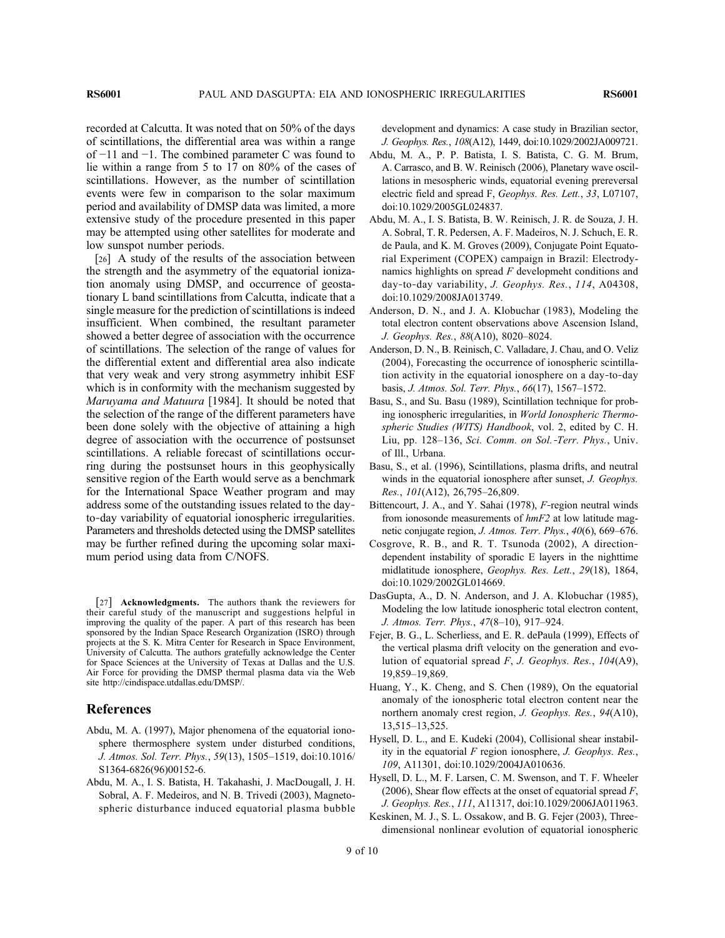recorded at Calcutta. It was noted that on 50% of the days of scintillations, the differential area was within a range of −11 and −1. The combined parameter C was found to lie within a range from 5 to 17 on 80% of the cases of scintillations. However, as the number of scintillation events were few in comparison to the solar maximum period and availability of DMSP data was limited, a more extensive study of the procedure presented in this paper may be attempted using other satellites for moderate and low sunspot number periods.

[26] A study of the results of the association between the strength and the asymmetry of the equatorial ionization anomaly using DMSP, and occurrence of geostationary L band scintillations from Calcutta, indicate that a single measure for the prediction of scintillations is indeed insufficient. When combined, the resultant parameter showed a better degree of association with the occurrence of scintillations. The selection of the range of values for the differential extent and differential area also indicate that very weak and very strong asymmetry inhibit ESF which is in conformity with the mechanism suggested by Maruyama and Matuura [1984]. It should be noted that the selection of the range of the different parameters have been done solely with the objective of attaining a high degree of association with the occurrence of postsunset scintillations. A reliable forecast of scintillations occurring during the postsunset hours in this geophysically sensitive region of the Earth would serve as a benchmark for the International Space Weather program and may address some of the outstanding issues related to the day‐ to‐day variability of equatorial ionospheric irregularities. Parameters and thresholds detected using the DMSP satellites may be further refined during the upcoming solar maximum period using data from C/NOFS.

[27] Acknowledgments. The authors thank the reviewers for their careful study of the manuscript and suggestions helpful in improving the quality of the paper. A part of this research has been sponsored by the Indian Space Research Organization (ISRO) through projects at the S. K. Mitra Center for Research in Space Environment, University of Calcutta. The authors gratefully acknowledge the Center for Space Sciences at the University of Texas at Dallas and the U.S. Air Force for providing the DMSP thermal plasma data via the Web site http://cindispace.utdallas.edu/DMSP/.

## References

- Abdu, M. A. (1997), Major phenomena of the equatorial ionosphere thermosphere system under disturbed conditions, J. Atmos. Sol. Terr. Phys., 59(13), 1505–1519, doi:10.1016/ S1364-6826(96)00152-6.
- Abdu, M. A., I. S. Batista, H. Takahashi, J. MacDougall, J. H. Sobral, A. F. Medeiros, and N. B. Trivedi (2003), Magnetospheric disturbance induced equatorial plasma bubble

development and dynamics: A case study in Brazilian sector, J. Geophys. Res., 108(A12), 1449, doi:10.1029/2002JA009721.

- Abdu, M. A., P. P. Batista, I. S. Batista, C. G. M. Brum, A. Carrasco, and B. W. Reinisch (2006), Planetary wave oscillations in mesospheric winds, equatorial evening prereversal electric field and spread F, Geophys. Res. Lett., 33, L07107, doi:10.1029/2005GL024837.
- Abdu, M. A., I. S. Batista, B. W. Reinisch, J. R. de Souza, J. H. A. Sobral, T. R. Pedersen, A. F. Madeiros, N. J. Schuch, E. R. de Paula, and K. M. Groves (2009), Conjugate Point Equatorial Experiment (COPEX) campaign in Brazil: Electrodynamics highlights on spread  $F$  development conditions and day-to-day variability, J. Geophys. Res., 114, A04308, doi:10.1029/2008JA013749.
- Anderson, D. N., and J. A. Klobuchar (1983), Modeling the total electron content observations above Ascension Island, J. Geophys. Res., 88(A10), 8020–8024.
- Anderson, D. N., B. Reinisch, C. Valladare, J. Chau, and O. Veliz (2004), Forecasting the occurrence of ionospheric scintillation activity in the equatorial ionosphere on a day‐to‐day basis, J. Atmos. Sol. Terr. Phys., 66(17), 1567–1572.
- Basu, S., and Su. Basu (1989), Scintillation technique for probing ionospheric irregularities, in World Ionospheric Thermospheric Studies (WITS) Handbook, vol. 2, edited by C. H. Liu, pp. 128–136, Sci. Comm. on Sol.‐Terr. Phys., Univ. of Ill., Urbana.
- Basu, S., et al. (1996), Scintillations, plasma drifts, and neutral winds in the equatorial ionosphere after sunset, *J. Geophys.* Res., 101(A12), 26,795–26,809.
- Bittencourt, J. A., and Y. Sahai (1978), F-region neutral winds from ionosonde measurements of  $hmF2$  at low latitude magnetic conjugate region, J. Atmos. Terr. Phys., 40(6), 669–676.
- Cosgrove, R. B., and R. T. Tsunoda (2002), A direction‐ dependent instability of sporadic E layers in the nighttime midlatitude ionosphere, Geophys. Res. Lett., 29(18), 1864, doi:10.1029/2002GL014669.
- DasGupta, A., D. N. Anderson, and J. A. Klobuchar (1985), Modeling the low latitude ionospheric total electron content, J. Atmos. Terr. Phys., 47(8–10), 917–924.
- Fejer, B. G., L. Scherliess, and E. R. dePaula (1999), Effects of the vertical plasma drift velocity on the generation and evolution of equatorial spread F, J. Geophys. Res., 104(A9), 19,859–19,869.
- Huang, Y., K. Cheng, and S. Chen (1989), On the equatorial anomaly of the ionospheric total electron content near the northern anomaly crest region, *J. Geophys. Res.*, 94(A10), 13,515–13,525.
- Hysell, D. L., and E. Kudeki (2004), Collisional shear instability in the equatorial F region ionosphere, J. Geophys. Res., 109, A11301, doi:10.1029/2004JA010636.
- Hysell, D. L., M. F. Larsen, C. M. Swenson, and T. F. Wheeler (2006), Shear flow effects at the onset of equatorial spread  $F$ , J. Geophys. Res., 111, A11317, doi:10.1029/2006JA011963.
- Keskinen, M. J., S. L. Ossakow, and B. G. Fejer (2003), Three‐ dimensional nonlinear evolution of equatorial ionospheric